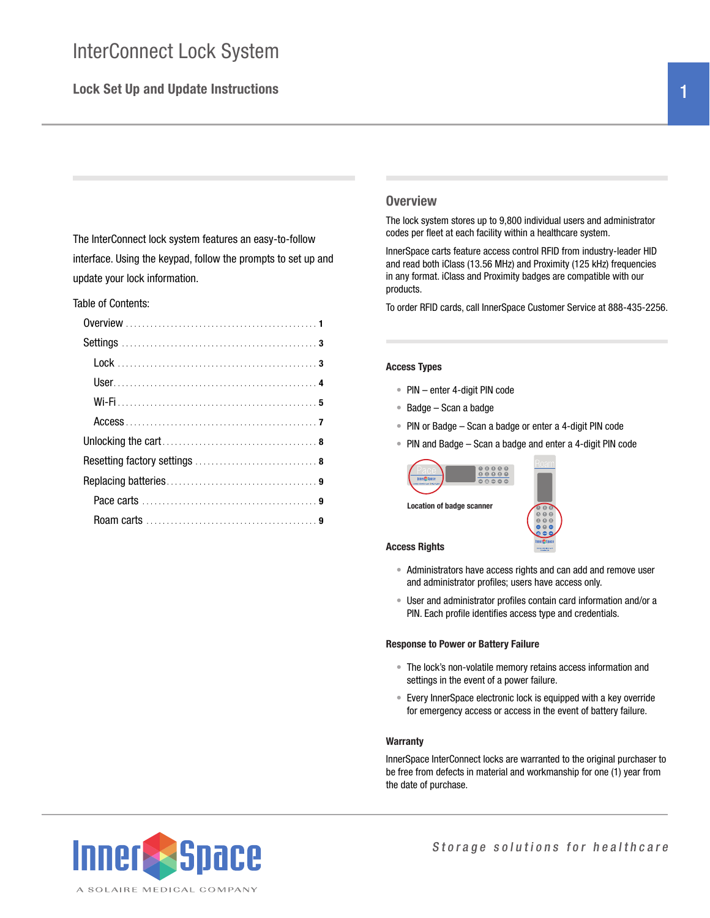The InterConnect lock system features an easy-to-follow interface. Using the keypad, follow the prompts to set up and update your lock information.

Table of Contents:

# **Overview**

The lock system stores up to 9,800 individual users and administrator codes per fleet at each facility within a healthcare system.

InnerSpace carts feature access control RFID from industry-leader HID and read both iClass (13.56 MHz) and Proximity (125 kHz) frequencies in any format. iClass and Proximity badges are compatible with our products.

To order RFID cards, call InnerSpace Customer Service at 888-435-2256.

### **Access Types**

- PIN enter 4-digit PIN code
- Badge Scan a badge
- PIN or Badge Scan a badge or enter a 4-digit PIN code
- PIN and Badge Scan a badge and enter a 4-digit PIN code



### **Access Rights**

- Administrators have access rights and can add and remove user and administrator profiles; users have access only.
- User and administrator profiles contain card information and/or a PIN. Each profile identifies access type and credentials.

### **Response to Power or Battery Failure**

- The lock's non-volatile memory retains access information and settings in the event of a power failure.
- Every InnerSpace electronic lock is equipped with a key override for emergency access or access in the event of battery failure.

### **Warranty**

InnerSpace InterConnect locks are warranted to the original purchaser to be free from defects in material and workmanship for one (1) year from the date of purchase.

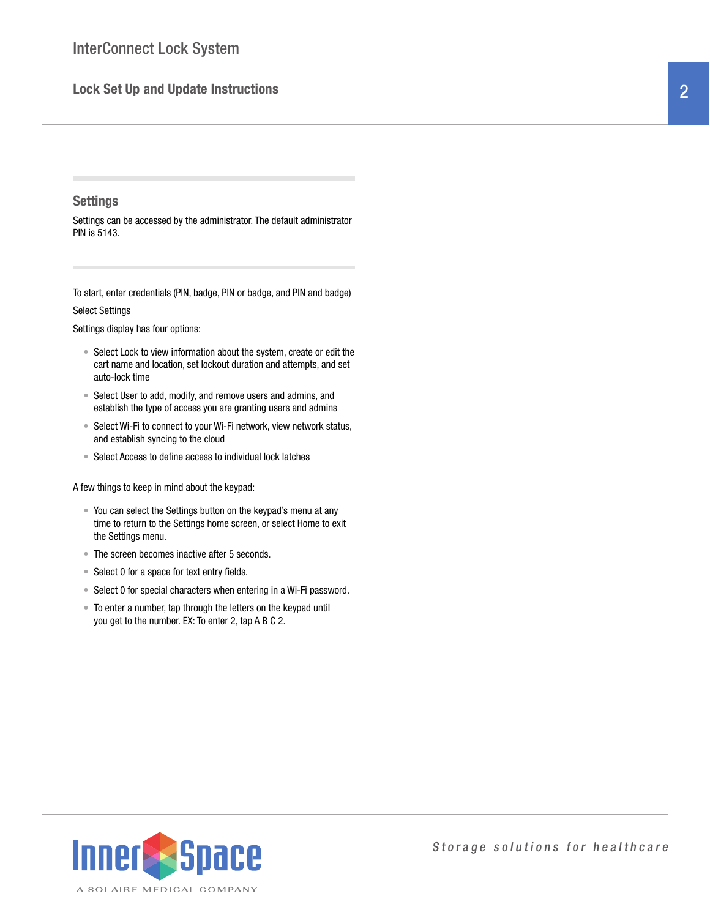# **Settings**

Settings can be accessed by the administrator. The default administrator PIN is 5143.

To start, enter credentials (PIN, badge, PIN or badge, and PIN and badge)

### Select Settings

Settings display has four options:

- Select Lock to view information about the system, create or edit the cart name and location, set lockout duration and attempts, and set auto-lock time
- Select User to add, modify, and remove users and admins, and establish the type of access you are granting users and admins
- Select Wi-Fi to connect to your Wi-Fi network, view network status, and establish syncing to the cloud
- Select Access to define access to individual lock latches

A few things to keep in mind about the keypad:

- You can select the Settings button on the keypad's menu at any time to return to the Settings home screen, or select Home to exit the Settings menu.
- The screen becomes inactive after 5 seconds.
- Select 0 for a space for text entry fields.
- Select 0 for special characters when entering in a Wi-Fi password.
- To enter a number, tap through the letters on the keypad until you get to the number. EX: To enter 2, tap A B C 2.



2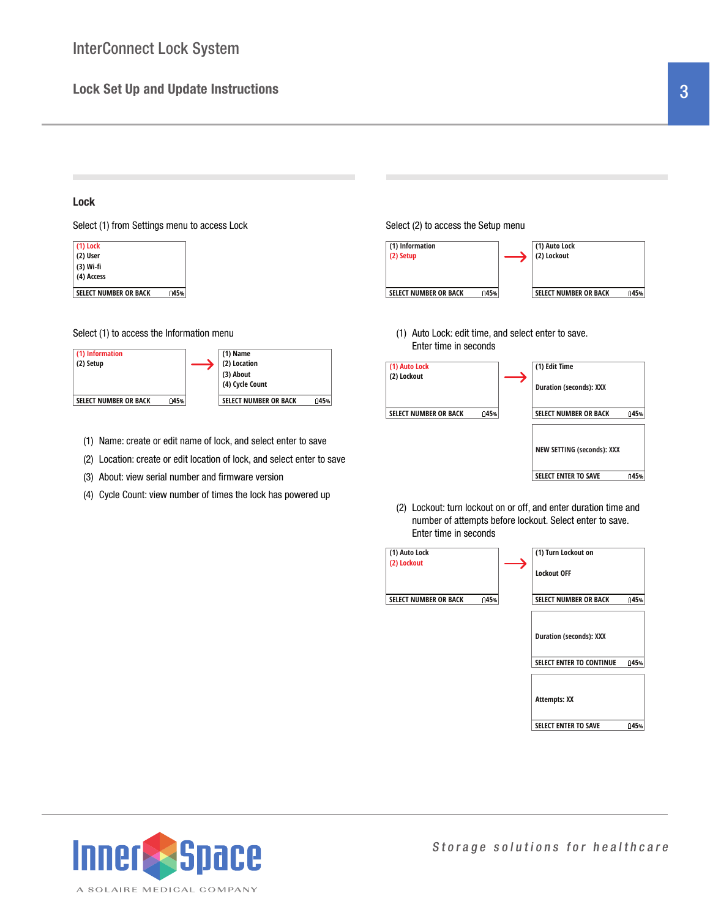### **Lock**

Select (1) from Settings menu to access Lock



#### Select (1) to access the Information menu **(2) Setup (1) Name**



- (1) Name: create or edit name of lock, and select enter to save **(1) Information (2) Lockout**
- (2) Location: create or edit location of lock, and select enter to save
- (3) About: view serial number and firmware version
- (4) Cycle Count: view number of times the lock has powered up

### Select (2) to access the Setup menu



(1) Auto Lock: edit time, and select enter to save. Enter time in seconds **(2) Lockout (1) Auto Lock**

|                        | (1) Auto Lock<br>(2) Lockout         | (1) Edit Time                        |  |
|------------------------|--------------------------------------|--------------------------------------|--|
| <b>OR BACK</b><br>145% |                                      | <b>Duration (seconds): XXX</b>       |  |
|                        | 045%<br><b>SELECT NUMBER OR BACK</b> | <b>SELECT NUMBER OR BACK</b><br>145% |  |
|                        |                                      |                                      |  |
| t enter to save:       |                                      | NEW SETTING (seconds): XXX           |  |
| select enter to save   |                                      |                                      |  |
| sion                   |                                      | 145%<br><b>SELECT ENTER TO SAVE</b>  |  |
|                        |                                      |                                      |  |

(2) Lockout: turn lockout on or off, and enter duration time and **15% CDERVOOL:** tarm lockout on or on, and once take addition and and pumpler of attempts before lockout. Select enter to save. **Enter time in seconds** 



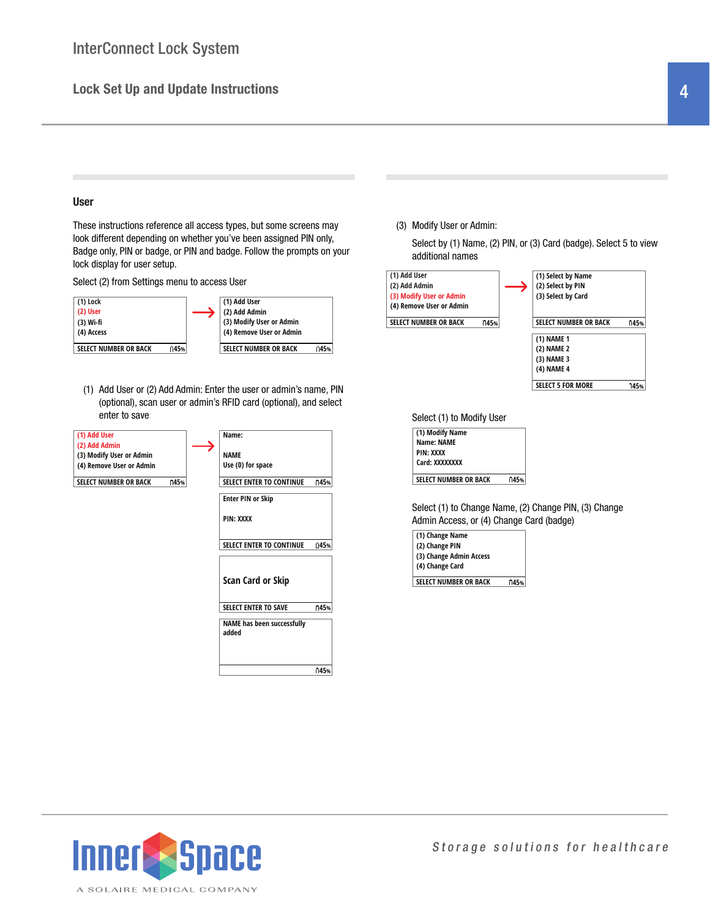**Lock Set Up and Update Instructions**

### **User**

These instructions reference all access types, but some screens may look different depending on whether you've been assigned PIN only, Badge only, PIN or badge, or PIN and badge. Follow the prompts on your lock display for user setup.

Select (2) from Settings menu to access User



(b) Add Sect of (E) Add Adminitential enter and describe daminitentially, and select (optional), scan user or admin's RFID card (optional), and select **enter to save (Uptibilal), SCAIT USER OF ADMINITS NETD** 

| (1) Add User<br>(2) Add Admin<br>(3) Modify User or Admin<br>(4) Remove User or Admin | Name:<br><b>NAME</b><br>Use (0) for space | (1) Modify Name<br>Name: NAME<br>PIN: XXXX<br>Card: XXXXXXXX |
|---------------------------------------------------------------------------------------|-------------------------------------------|--------------------------------------------------------------|
| 145%<br><b>SELECT NUMBER OR BACK</b>                                                  | 145%<br>SELECT ENTER TO CONTINUE          | <b>145%</b><br><b>SELECT NUMBER OR BACK</b>                  |
|                                                                                       | <b>Enter PIN or Skip</b>                  | Select (1) to Change Name, (2) Change PI                     |
|                                                                                       | PIN: XXXX                                 | Admin Access, or (4) Change Card (badge                      |

| (1) Add User<br>(2) Add Admin<br>(3) Modify User or Admin<br>(4) Remove User or Admin |                    | Name:<br>NAME<br>Use (0) for space              | (1) Modify<br>Name: NAM<br>PIN: XXXX<br>Card: XXXX) |
|---------------------------------------------------------------------------------------|--------------------|-------------------------------------------------|-----------------------------------------------------|
| <b>SELECT NUMBER OR BACK</b>                                                          | $\blacksquare$ 45% | SELECT ENTER TO CONTINUE<br>$\big  145\% \big $ | <b>SELECT NUN</b>                                   |
|                                                                                       |                    | <b>Enter PIN or Skip</b><br>PIN: XXXX           | Select (1)<br>Admin Aco                             |
|                                                                                       |                    | SELECT ENTER TO CONTINUE<br>45%                 | (1) Change<br>(2) Change<br>(3) Change              |
|                                                                                       |                    | <b>Scan Card or Skip</b>                        | (4) Change<br><b>SELECT NUN</b>                     |
|                                                                                       |                    | <b>SELECT ENTER TO SAVE</b><br>045%             |                                                     |
|                                                                                       |                    | <b>NAME has been successfully</b><br>added      |                                                     |
|                                                                                       |                    | 045%                                            |                                                     |

(3) Modify User or Admin:

Select by (1) Name, (2) PIN, or (3) Card (badge). Select 5 to view additional names



**SELECT ENTER TO SAVE 45%**

| <b>145%</b> |
|-------------|
|             |

Select (1) to Change Name, (2) Change PIN, (3) Change Admin Access, or (4) Change Card (badge) **(2) Change PIN**

|    |     | (1) Change Name                            |              |
|----|-----|--------------------------------------------|--------------|
| UE | 45% | (2) Change PIN                             |              |
|    |     | (3) Change Admin Access<br>(4) Change Card |              |
|    |     | <b>SELECT NUMBER OR BACK</b>               | <b>1145%</b> |

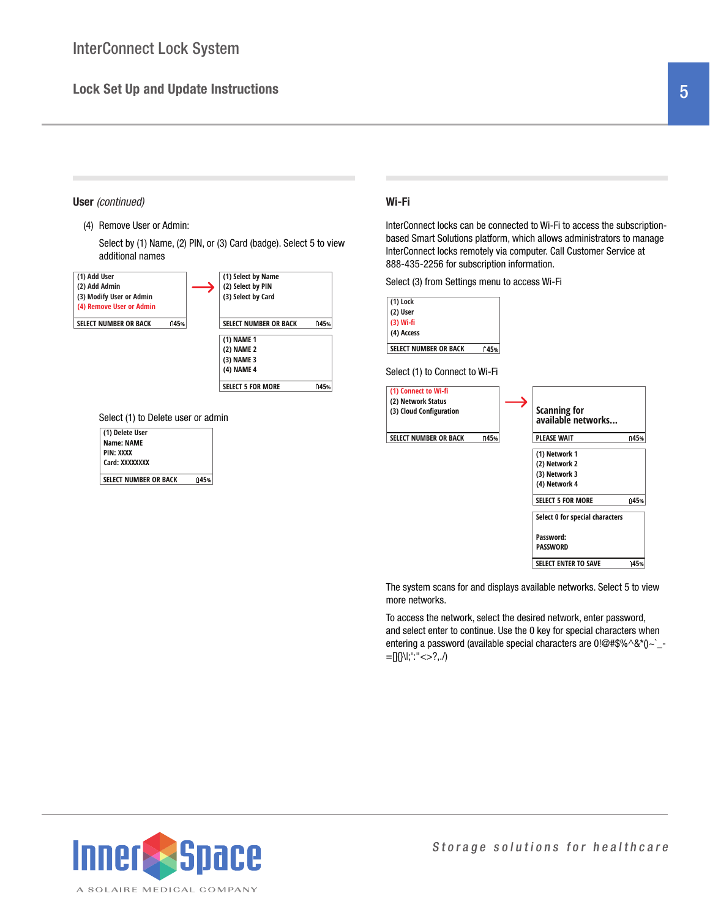**User** *(continued)*

(4) Remove User or Admin:

Select by (1) Name, (2) PIN, or (3) Card (badge). Select 5 to view additional names



Select (1) to Delete user or admin **Enter PIN**

| (1) Delete User                             |  |
|---------------------------------------------|--|
| Name: NAME                                  |  |
| <b>PIN: XXXX</b>                            |  |
| Card: XXXXXXXX                              |  |
|                                             |  |
| <b>SELECT NUMBER OR BACK</b><br><b>145%</b> |  |

### **Wi-Fi**

InterConnect locks can be connected to Wi-Fi to access the subscriptionbased Smart Solutions platform, which allows administrators to manage InterConnect locks remotely via computer. Call Customer Service at 888-435-2256 for subscription information.

Select (3) from Settings menu to access Wi-Fi



The system scans for and displays available networks. Select 5 to view more networks.

To access the network, select the desired network, enter password, and select enter to continue. Use the 0 key for special characters when entering a password (available special characters are  $0!@#\$\%^{\wedge} \&^*()~`$  -=[]{}\|;':"<>?,./)

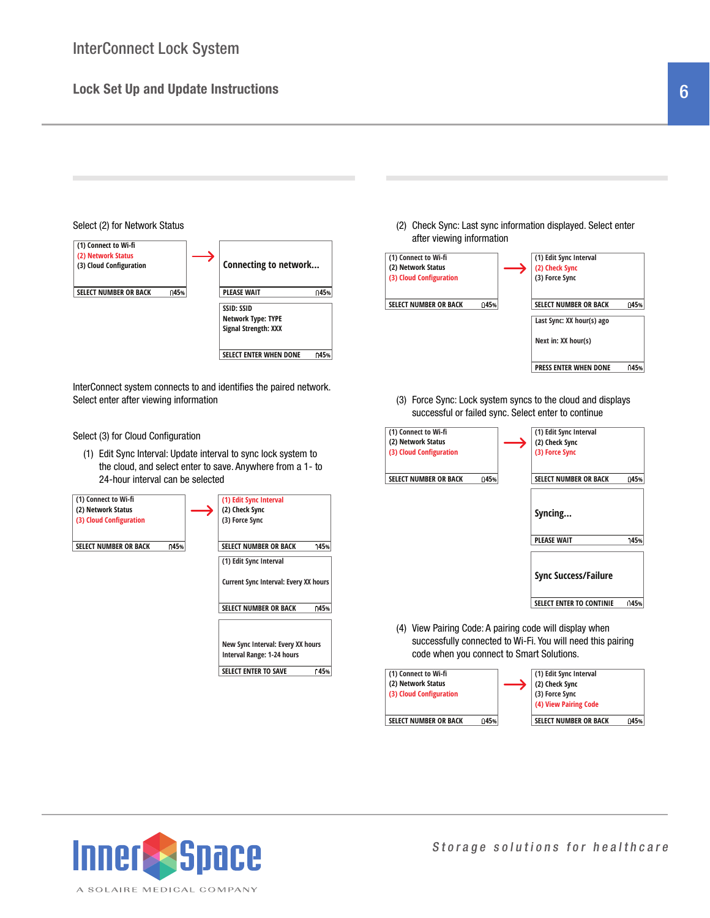# **Lock Set Up and Update Instructions**



InterConnect system connects to and identifies the paired network. Select enter after viewing information

(1) Edit Sync Interval: Update interval to sync lock system to the cloud, and select enter to save. Anywhere from a 1- to are cread, and corport office to cavid-**Validative** State



 $(2)$  Check Sync: Last sync information displayed. Select enter after viewing information **(1) Edit Sync Interval**



(3) Force Sync: Lock system syncs to the cloud and displays successful or failed sync. Select enter to continue







**(2) Check Sync**

**(3) Force Sync Syncing... Sync Success/Failure**

**(1) Edit Sync Interval**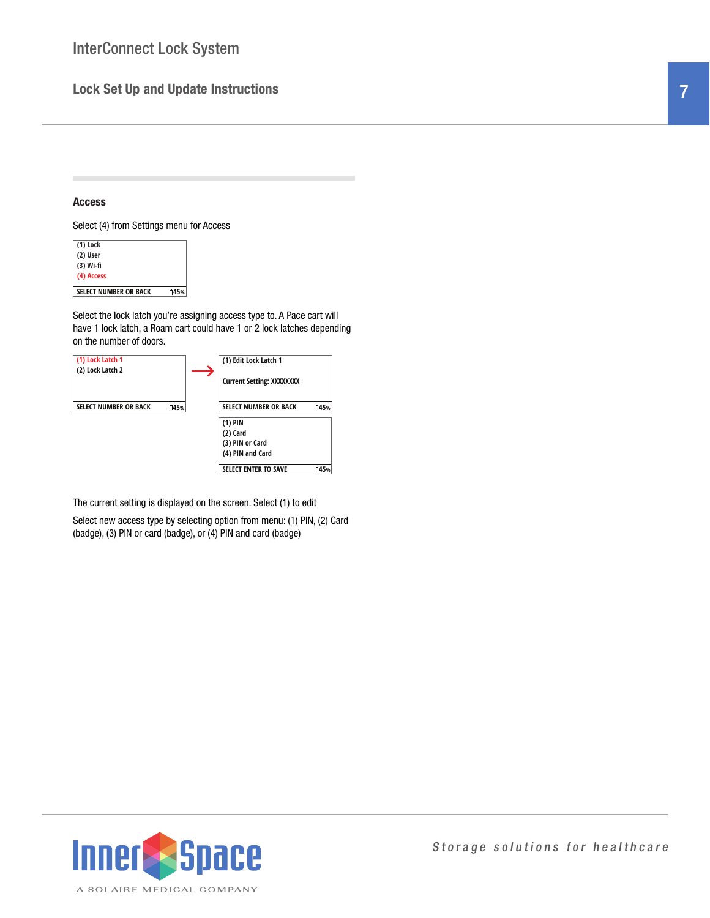### **Access**

Select (4) from Settings menu for Access

| $(1)$ Lock                   |      |
|------------------------------|------|
| (2) User                     |      |
| $(3)$ Wi-fi                  |      |
| (4) Access                   |      |
|                              |      |
| <b>SELECT NUMBER OR BACK</b> | 145% |
|                              |      |

Select the lock latch you're assigning access type to. A Pace cart will have 1 lock latch, a Roam cart could have 1 or 2 lock latches depending on the number of doors.



The current setting is displayed on the screen. Select (1) to edit

Select new access type by selecting option from menu: (1) PIN, (2) Card (badge), (3) PIN or card (badge), or (4) PIN and card (badge)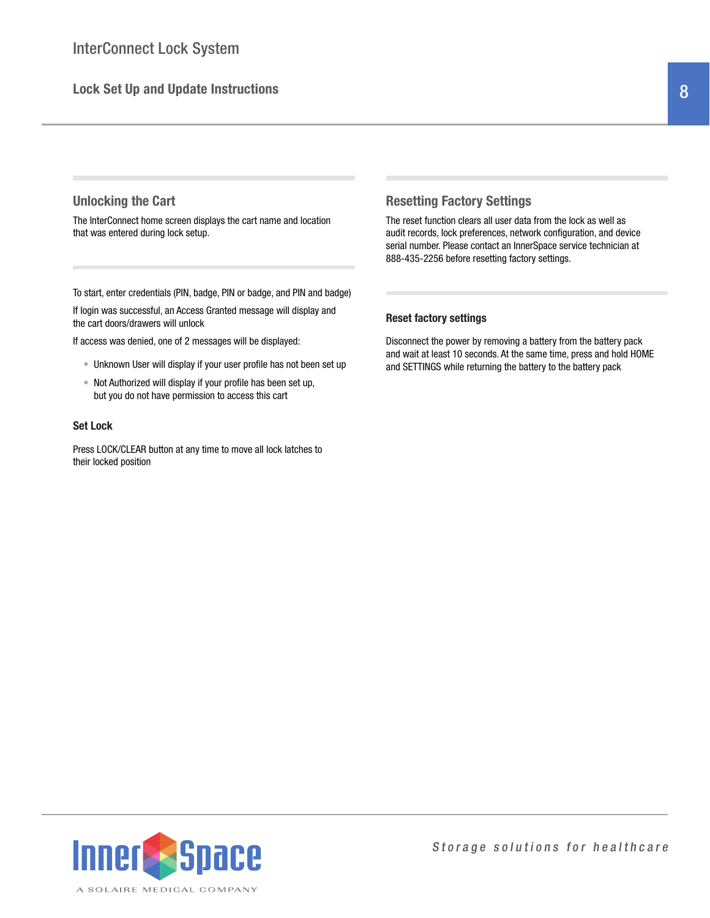# **Unlocking the Cart**

The InterConnect home screen displays the cart name and location that was entered during lock setup.

To start, enter credentials (PIN, badge, PIN or badge, and PIN and badge)

If login was successful, an Access Granted message will display and the cart doors/drawers will unlock

If access was denied, one of 2 messages will be displayed:

- Unknown User will display if your user profile has not been set up
- Not Authorized will display if your profile has been set up, but you do not have permission to access this cart

### **Set Lock**

Press LOCK/CLEAR button at any time to move all lock latches to their locked position

# **Resetting Factory Settings**

The reset function clears all user data from the lock as well as audit records, lock preferences, network configuration, and device serial number. Please contact an InnerSpace service technician at 888-435-2256 before resetting factory settings.

### **Reset factory settings**

Disconnect the power by removing a battery from the battery pack and wait at least 10 seconds. At the same time, press and hold HOME and SETTINGS while returning the battery to the battery pack